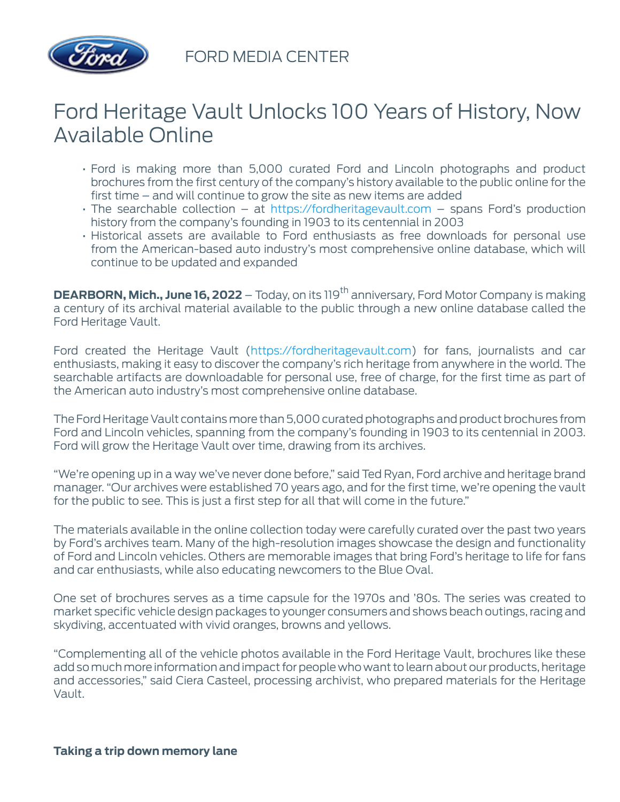

FORD MEDIA CENTER

## Ford Heritage Vault Unlocks 100 Years of History, Now Available Online

- Ford is making more than 5,000 curated Ford and Lincoln photographs and product brochures from the first century of the company's history available to the public online for the first time – and will continue to grow the site as new items are added
- The searchable collection  $-$  at [https://fordheritagevault.com](https://fordheritagevault.com/)  $-$  spans Ford's production history from the company's founding in 1903 to its centennial in 2003
- Historical assets are available to Ford enthusiasts as free downloads for personal use from the American-based auto industry's most comprehensive online database, which will continue to be updated and expanded

**DEARBORN, Mich., June 16, 2022** – Today, on its 119<sup>th</sup> anniversary, Ford Motor Company is making a century of its archival material available to the public through a new online database called the Ford Heritage Vault.

Ford created the Heritage Vault ([https://fordheritagevault.com\)](https://fordheritagevault.com/) for fans, journalists and car enthusiasts, making it easy to discover the company's rich heritage from anywhere in the world. The searchable artifacts are downloadable for personal use, free of charge, for the first time as part of the American auto industry's most comprehensive online database.

The Ford Heritage Vault contains more than 5,000 curated photographs and product brochures from Ford and Lincoln vehicles, spanning from the company's founding in 1903 to its centennial in 2003. Ford will grow the Heritage Vault over time, drawing from its archives.

"We're opening up in a way we've never done before," said Ted Ryan, Ford archive and heritage brand manager. "Our archives were established 70 years ago, and for the first time, we're opening the vault for the public to see. This is just a first step for all that will come in the future."

The materials available in the online collection today were carefully curated over the past two years by Ford's archives team. Many of the high-resolution images showcase the design and functionality of Ford and Lincoln vehicles. Others are memorable images that bring Ford's heritage to life for fans and car enthusiasts, while also educating newcomers to the Blue Oval.

One set of brochures serves as a time capsule for the 1970s and '80s. The series was created to market specific vehicle design packages to younger consumers and shows beach outings, racing and skydiving, accentuated with vivid oranges, browns and yellows.

"Complementing all of the vehicle photos available in the Ford Heritage Vault, brochures like these add so much more information and impact for people who want to learn about our products, heritage and accessories," said Ciera Casteel, processing archivist, who prepared materials for the Heritage Vault.